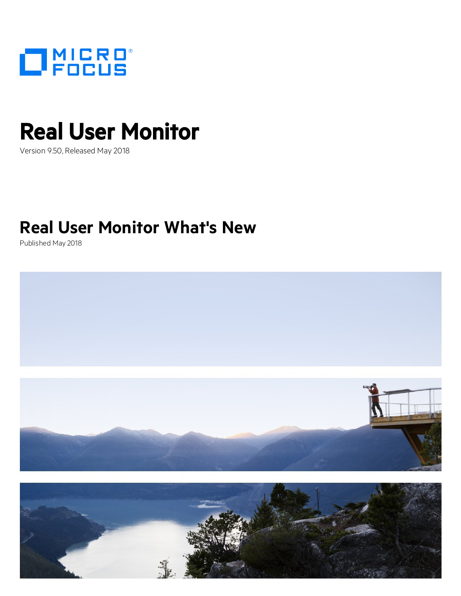

# Real User Monitor

Version 9.50, Released May 2018

### **Real User Monitor What's New**

Published May 2018



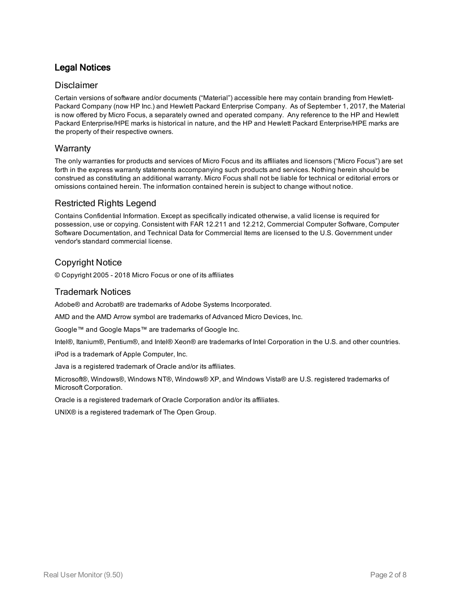### Legal Notices

### Disclaimer

Certain versions of software and/or documents ("Material") accessible here may contain branding from Hewlett-Packard Company (now HP Inc.) and Hewlett Packard Enterprise Company. As of September 1, 2017, the Material is now offered by Micro Focus, a separately owned and operated company. Any reference to the HP and Hewlett Packard Enterprise/HPE marks is historical in nature, and the HP and Hewlett Packard Enterprise/HPE marks are the property of their respective owners.

#### **Warranty**

The only warranties for products and services of Micro Focus and its affiliates and licensors ("Micro Focus") are set forth in the express warranty statements accompanying such products and services. Nothing herein should be construed as constituting an additional warranty. Micro Focus shall not be liable for technical or editorial errors or omissions contained herein. The information contained herein is subject to change without notice.

### Restricted Rights Legend

Contains Confidential Information. Except as specifically indicated otherwise, a valid license is required for possession, use or copying. Consistent with FAR 12.211 and 12.212, Commercial Computer Software, Computer Software Documentation, and Technical Data for Commercial Items are licensed to the U.S. Government under vendor's standard commercial license.

### Copyright Notice

© Copyright 2005 - 2018 Micro Focus or one of its affiliates

### Trademark Notices

Adobe® and Acrobat® are trademarks of Adobe Systems Incorporated.

AMD and the AMD Arrow symbol are trademarks of Advanced Micro Devices, Inc.

Google™ and Google Maps™ are trademarks of Google Inc.

Intel®, Itanium®, Pentium®, and Intel® Xeon® are trademarks of Intel Corporation in the U.S. and other countries.

iPod is a trademark of Apple Computer, Inc.

Java is a registered trademark of Oracle and/or its affiliates.

Microsoft®, Windows®, Windows NT®, Windows® XP, and Windows Vista® are U.S. registered trademarks of Microsoft Corporation.

Oracle is a registered trademark of Oracle Corporation and/or its affiliates.

UNIX® is a registered trademark of The Open Group.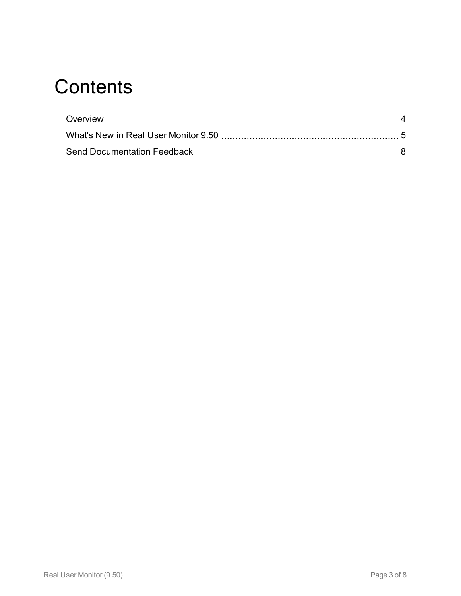### **Contents**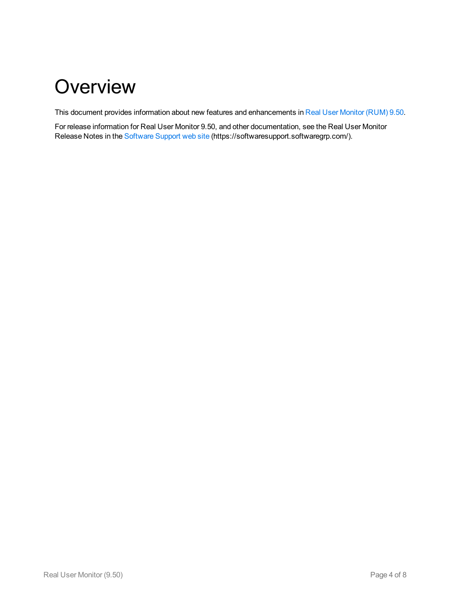### <span id="page-3-0"></span>**Overview**

This document provides information about new features and enhancements in Real User [Monitor](#page-4-0) (RUM) 9.50.

For release information for Real User Monitor 9.50, and other documentation, see the Real User Monitor Release Notes in the [Software](https://softwaresupport.softwaregrp.com/) Support web site (https://softwaresupport.softwaregrp.com/).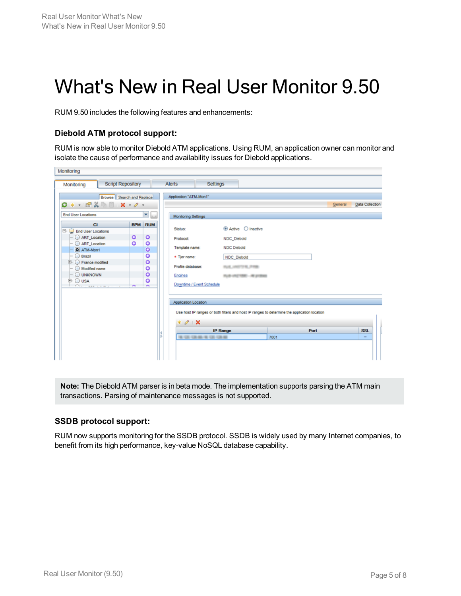## <span id="page-4-0"></span>What's New in Real User Monitor 9.50

RUM 9.50 includes the following features and enhancements:

### **Diebold ATM protocol support:**

RUM is now able to monitor Diebold ATM applications. Using RUM, an application owner can monitor and isolate the cause of performance and availability issues for Diebold applications.

| Monitoring                 |                          |                               |                            |                                |                                                                                             |             |                 |
|----------------------------|--------------------------|-------------------------------|----------------------------|--------------------------------|---------------------------------------------------------------------------------------------|-------------|-----------------|
| Monitoring                 | <b>Script Repository</b> |                               | Alerts                     | <b>Settings</b>                |                                                                                             |             |                 |
| Browse Search and Replace  |                          |                               | Application "ATM-Mon1"     |                                |                                                                                             |             |                 |
| $O*$ $ C2$ $ C2$           |                          |                               |                            |                                |                                                                                             | General     | Data Collection |
| <b>End User Locations</b>  |                          | $\blacksquare$                | <b>Monitoring Settings</b> |                                |                                                                                             |             |                 |
| C1                         |                          | <b>BPM</b> RUM                | Status:                    | ◉ Active ◯ Inactive            |                                                                                             |             |                 |
| E- End User Locations      |                          |                               |                            |                                |                                                                                             |             |                 |
| ART Location               | ۰                        | ۰                             | Protocol:                  | <b>NDC_Diebold</b>             |                                                                                             |             |                 |
| ART Location<br>O ATM-Mon1 | ۰                        | $\bullet$<br>$\bullet$        | Template name:             | <b>NDC Diebold</b>             |                                                                                             |             |                 |
| <b>Brazil</b>              |                          | ۰                             | * Tjer name:               | NDC_Diebold                    |                                                                                             |             |                 |
| <b>E</b> C France modified |                          | $\bullet$                     | Profile database:          | HUEL HASTER PRINT              |                                                                                             |             |                 |
| Modified name              |                          | ٥                             |                            |                                |                                                                                             |             |                 |
| O UNKNOWN                  |                          | ō                             | <b>Engines</b>             | AUGUST 1990 - MOUVILLE         |                                                                                             |             |                 |
| ⊕ ⊙usa                     |                          | ٥<br>$\overline{\phantom{a}}$ | Downtime / Event Schedule  |                                |                                                                                             |             |                 |
|                            |                          |                               | Application Location       |                                |                                                                                             |             |                 |
|                            |                          |                               |                            |                                | Use host IP ranges or both filters and host IP ranges to determine the application location |             |                 |
|                            |                          |                               | $*$ 0 $\times$             |                                |                                                                                             |             |                 |
|                            |                          |                               |                            | <b>IP Range</b>                |                                                                                             | <b>Port</b> | <b>SSL</b>      |
|                            |                          |                               | к<br>ıъ                    | THE FORE FOR DELIVER PRETORIES | 7001                                                                                        |             |                 |
|                            |                          |                               |                            |                                |                                                                                             |             |                 |
|                            |                          |                               |                            |                                |                                                                                             |             |                 |
|                            |                          |                               |                            |                                |                                                                                             |             |                 |
|                            |                          |                               |                            |                                |                                                                                             |             |                 |

**Note:** The Diebold ATM parser is in beta mode. The implementation supports parsing the ATM main transactions. Parsing of maintenance messages is not supported.

#### **SSDB protocol support:**

RUM now supports monitoring for the SSDB protocol. SSDB is widely used by many Internet companies, to benefit from its high performance, key-value NoSQL database capability.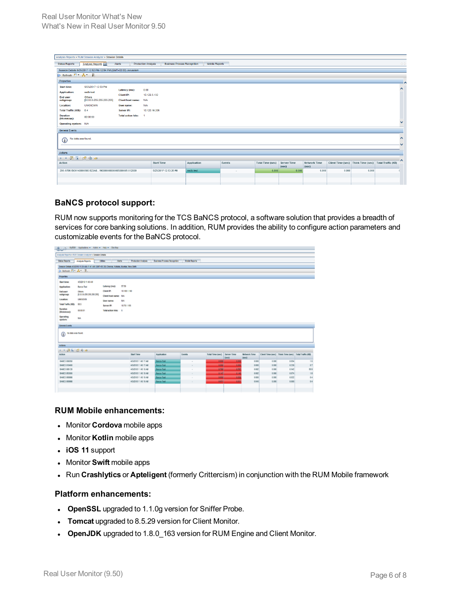| Analysis Reports > RUM Session Analyzer > Session Details                                                       |                                                                   |                                 |                            |                                     |                       |        |                         |                      |                              |       |                                                       |              |         |
|-----------------------------------------------------------------------------------------------------------------|-------------------------------------------------------------------|---------------------------------|----------------------------|-------------------------------------|-----------------------|--------|-------------------------|----------------------|------------------------------|-------|-------------------------------------------------------|--------------|---------|
| <b>Status Reports</b>                                                                                           | Analysis Reports                                                  | Alerts                          | <b>Production Analysis</b> | <b>Business Process Recognition</b> | <b>Mobile Reports</b> |        |                         |                      |                              |       |                                                       |              | $\circ$ |
|                                                                                                                 | Session Details 5/25/2017 12:52 PM-12:54 PM (GMT+02:00) Jerusalem |                                 |                            |                                     |                       |        |                         |                      |                              |       |                                                       |              |         |
| ▶ Refresh コ * ▲ * 吸                                                                                             |                                                                   |                                 |                            |                                     |                       |        |                         |                      |                              |       |                                                       |              |         |
| Properties                                                                                                      |                                                                   |                                 |                            |                                     |                       |        |                         |                      |                              |       |                                                       |              |         |
| <b>Start time:</b>                                                                                              | 5/25/2017 12:53 PM                                                |                                 |                            |                                     |                       |        |                         |                      |                              |       |                                                       |              | $\sim$  |
| <b>Application:</b>                                                                                             | 0.00<br>Latency (ms):<br>ssdb-test<br>10.129.3.132                |                                 |                            |                                     |                       |        |                         |                      |                              |       |                                                       |              |         |
| End user<br>subgroup:                                                                                           | Others<br>[0.0.0.0-255.255.255.255]                               | Client IP:<br>Client host name: | <b>N/A</b>                 |                                     |                       |        |                         |                      |                              |       |                                                       |              |         |
| <b>Location:</b>                                                                                                | <b>UNKNOWN</b>                                                    | User name:                      | <b>N/A</b>                 |                                     |                       |        |                         |                      |                              |       |                                                       |              |         |
| Total Traffic (KB): 0.4                                                                                         |                                                                   | Server IP:                      | 10.120.16.205              |                                     |                       |        |                         |                      |                              |       |                                                       |              |         |
| <b>Duration</b><br>(hh:mm:ss):                                                                                  | 00:00:00                                                          | <b>Total action hits:</b>       |                            |                                     |                       |        |                         |                      |                              |       |                                                       |              |         |
| Operating system: N/A                                                                                           |                                                                   |                                 |                            |                                     |                       |        |                         |                      |                              |       |                                                       | $\checkmark$ |         |
| <b>General Events</b>                                                                                           |                                                                   |                                 |                            |                                     |                       |        |                         |                      |                              |       |                                                       |              |         |
| No data was found.<br>$\bigcirc$                                                                                |                                                                   |                                 |                            |                                     |                       |        |                         |                      |                              |       |                                                       | $\hat{}$     |         |
| Actions                                                                                                         |                                                                   |                                 |                            |                                     |                       |        |                         |                      |                              |       |                                                       |              |         |
| $\rightarrow$ $\rightarrow$ $\rightarrow$ $\rightarrow$ $\rightarrow$ $\rightarrow$ $\rightarrow$ $\rightarrow$ |                                                                   |                                 |                            |                                     |                       |        |                         |                      |                              |       |                                                       | -۸           |         |
| Action                                                                                                          |                                                                   |                                 | <b>Start Time</b>          |                                     | Application           | Events | <b>Total Time (sec)</b> | Server Time<br>(sec) | <b>Network Time</b><br>(sec) |       | Client Time (sec) Think Time (sec) Total Traffic (KB) |              |         |
|                                                                                                                 | 200 AT06 ISO0140000500 B23A81900000000000005000005 012000         |                                 |                            | 5/25/2017 12:53:26 PM               | ssdb-test             | ٠      | 0.000                   | 0.000                | 0.000                        | 0,000 | 0,000                                                 |              |         |
|                                                                                                                 |                                                                   |                                 |                            |                                     |                       |        |                         |                      |                              |       |                                                       |              |         |
|                                                                                                                 |                                                                   |                                 |                            |                                     |                       |        |                         |                      |                              |       |                                                       |              |         |

### **BaNCS protocol support:**

RUM now supports monitoring for the TCS BaNCS protocol, a software solution that provides a breadth of services for core banking solutions. In addition, RUM provides the ability to configure action parameters and customizable events for the BaNCS protocol.

|                                                  | Ilyest Applications - Admin Halp - Shallton<br>Analysis Reports v RUV Session Analyzer v Session Details<br><b>Alerta</b><br><b>Production Analysis</b><br><b>Business Process Recognition</b><br><b>Took Reports</b><br>Anaysis Reports<br><b>Uitles</b><br>Sessor Delais 4/3/2010 11:39 AB-11 41 AW (GMT+ES 30) Chennis, Kollada, Munital, New Oelli<br>is factured F1 and T2.<br>45001811-43 AM<br>57.59<br><b>Latency (mo):</b><br>Banca-Test<br>Clent IP:<br>10 14/8 1.142<br>Others<br>(0.03.3-259.268.268.268)<br>Clent host name: N/L<br><b>URKNOCK</b><br>NA.<br><b>User name:</b><br>615<br>Server IP:<br>10731155<br>030031<br>Total action hits: 6 |  |                     |                   |               |                                       |                              |       |                                                       |      |
|--------------------------------------------------|----------------------------------------------------------------------------------------------------------------------------------------------------------------------------------------------------------------------------------------------------------------------------------------------------------------------------------------------------------------------------------------------------------------------------------------------------------------------------------------------------------------------------------------------------------------------------------------------------------------------------------------------------------------|--|---------------------|-------------------|---------------|---------------------------------------|------------------------------|-------|-------------------------------------------------------|------|
| Status Reports                                   |                                                                                                                                                                                                                                                                                                                                                                                                                                                                                                                                                                                                                                                                |  |                     |                   |               |                                       |                              |       |                                                       |      |
|                                                  |                                                                                                                                                                                                                                                                                                                                                                                                                                                                                                                                                                                                                                                                |  |                     |                   |               |                                       |                              |       |                                                       |      |
|                                                  |                                                                                                                                                                                                                                                                                                                                                                                                                                                                                                                                                                                                                                                                |  |                     |                   |               |                                       |                              |       |                                                       |      |
| <b>Properties</b>                                |                                                                                                                                                                                                                                                                                                                                                                                                                                                                                                                                                                                                                                                                |  |                     |                   |               |                                       |                              |       |                                                       |      |
| Start time:                                      |                                                                                                                                                                                                                                                                                                                                                                                                                                                                                                                                                                                                                                                                |  |                     |                   |               |                                       |                              |       |                                                       |      |
| Application:                                     |                                                                                                                                                                                                                                                                                                                                                                                                                                                                                                                                                                                                                                                                |  |                     |                   |               |                                       |                              |       |                                                       |      |
| <b>End user</b>                                  |                                                                                                                                                                                                                                                                                                                                                                                                                                                                                                                                                                                                                                                                |  |                     |                   |               |                                       |                              |       |                                                       |      |
| subgroup:                                        |                                                                                                                                                                                                                                                                                                                                                                                                                                                                                                                                                                                                                                                                |  |                     |                   |               |                                       |                              |       |                                                       |      |
| Location:                                        |                                                                                                                                                                                                                                                                                                                                                                                                                                                                                                                                                                                                                                                                |  |                     |                   |               |                                       |                              |       |                                                       |      |
| Total Traffic (AS):                              |                                                                                                                                                                                                                                                                                                                                                                                                                                                                                                                                                                                                                                                                |  |                     |                   |               |                                       |                              |       |                                                       |      |
| Duration<br>(Mummeres):                          |                                                                                                                                                                                                                                                                                                                                                                                                                                                                                                                                                                                                                                                                |  |                     |                   |               |                                       |                              |       |                                                       |      |
| Operating<br>system:                             | tas.                                                                                                                                                                                                                                                                                                                                                                                                                                                                                                                                                                                                                                                           |  |                     |                   |               |                                       |                              |       |                                                       |      |
| <b>Conoral Events</b><br>No data was found.<br>⋒ |                                                                                                                                                                                                                                                                                                                                                                                                                                                                                                                                                                                                                                                                |  |                     |                   |               |                                       |                              |       |                                                       |      |
|                                                  |                                                                                                                                                                                                                                                                                                                                                                                                                                                                                                                                                                                                                                                                |  |                     |                   |               |                                       |                              |       |                                                       |      |
| Actors                                           |                                                                                                                                                                                                                                                                                                                                                                                                                                                                                                                                                                                                                                                                |  |                     |                   |               |                                       |                              |       |                                                       |      |
| $1 - 0$ <b>1 1 1 2 4 4</b>                       |                                                                                                                                                                                                                                                                                                                                                                                                                                                                                                                                                                                                                                                                |  |                     |                   |               |                                       |                              |       |                                                       |      |
| <b>Action</b>                                    |                                                                                                                                                                                                                                                                                                                                                                                                                                                                                                                                                                                                                                                                |  | <b>Start Time</b>   | Application       | <b>Europh</b> | Total Time (sec) Server Time<br>Owen) | <b>Betweek Time</b><br>(sec) |       | Client Time (sec) Think Time (sec) Tutal Traffic (KB) |      |
| BANCS DIAIPIO                                    |                                                                                                                                                                                                                                                                                                                                                                                                                                                                                                                                                                                                                                                                |  | 40/0012 11:42 17:48 | <b>BANK-Test</b>  | $\sim$        | <b>ABM</b><br>8.958                   | E(000)                       | 0.000 | 0.154                                                 | 18   |
| RAW15.010400                                     |                                                                                                                                                                                                                                                                                                                                                                                                                                                                                                                                                                                                                                                                |  | 45/010 11:42 17:48  | <b>Bancs-Text</b> | $\sim$        | 0.0%<br>4.056                         | 0.000                        | 0.000 | 0.239                                                 | 07   |
| BANCS 009120                                     |                                                                                                                                                                                                                                                                                                                                                                                                                                                                                                                                                                                                                                                                |  | 45/018 11:02:3.48   | Force-Tast        | $\sim$        | 1,797<br>0.795                        | 0.002                        | 0.000 | 0.947                                                 | 55.9 |
| RAINES 05/1900                                   |                                                                                                                                                                                                                                                                                                                                                                                                                                                                                                                                                                                                                                                                |  | 45/318 11:40:19.481 | <b>Banca-Tast</b> | $\sim$        | 8.145<br>0147                         | 0.002                        | 0.000 | 0.074                                                 | 18   |
| BANCS 060098                                     |                                                                                                                                                                                                                                                                                                                                                                                                                                                                                                                                                                                                                                                                |  | 450018114019.48     | <b>Euros</b> Task |               | 448<br><b>GEN</b>                     | 0.000                        | 4.900 | 0.022                                                 | 0.4  |
| <b>INNES 000900</b>                              |                                                                                                                                                                                                                                                                                                                                                                                                                                                                                                                                                                                                                                                                |  | 45/318 11:40:19.48  | <b>Banca-Test</b> | $\sim$        | 449<br>0.671                          | E 043                        | 0.000 | 0.000                                                 | 04   |
|                                                  |                                                                                                                                                                                                                                                                                                                                                                                                                                                                                                                                                                                                                                                                |  |                     |                   |               |                                       |                              |       |                                                       |      |
|                                                  |                                                                                                                                                                                                                                                                                                                                                                                                                                                                                                                                                                                                                                                                |  |                     |                   |               |                                       |                              |       |                                                       |      |

### **RUM Mobile enhancements:**

- **.** Monitor **Cordova** mobile apps
- **.** Monitor **Kotlin** mobile apps
- <sup>l</sup> **iOS 11** support
- Monitor **Swift** mobile apps
- **.** Run Crashlytics or Apteligent (formerly Crittercism) in conjunction with the RUM Mobile framework

### **Platform enhancements:**

- **OpenSSL** upgraded to 1.1.0g version for Sniffer Probe.
- **Tomcat** upgraded to 8.5.29 version for Client Monitor.
- **.** OpenJDK upgraded to 1.8.0\_163 version for RUM Engine and Client Monitor.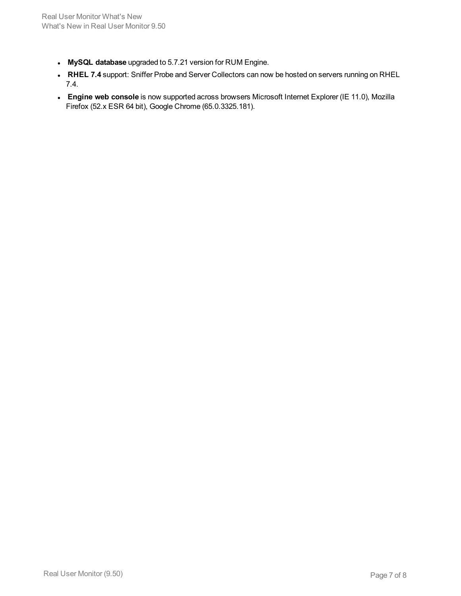- <sup>l</sup> **MySQL database** upgraded to 5.7.21 version for RUM Engine.
- <sup>l</sup> **RHEL 7.4** support: Sniffer Probe and Server Collectors can now be hosted on servers running on RHEL 7.4.
- **Engine web console** is now supported across browsers Microsoft Internet Explorer (IE 11.0), Mozilla Firefox (52.x ESR 64 bit), Google Chrome (65.0.3325.181).